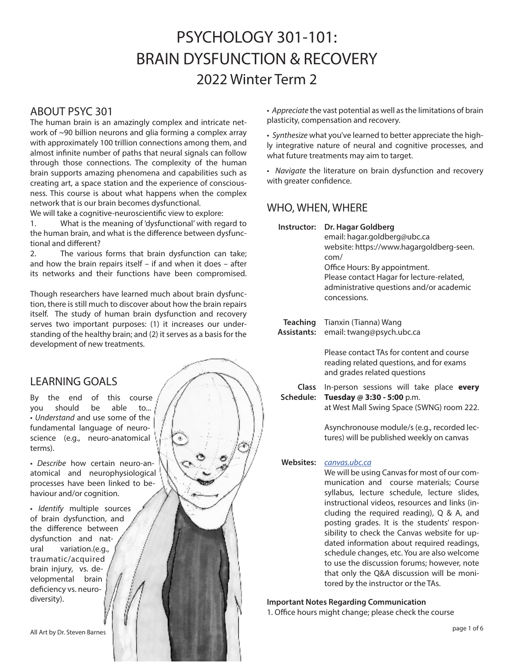# PSYCHOLOGY 301-101: BRAIN DYSFUNCTION & RECOVERY 2022 Winter Term 2

### ABOUT PSYC 301

The human brain is an amazingly complex and intricate network of ~90 billion neurons and glia forming a complex array with approximately 100 trillion connections among them, and almost infinite number of paths that neural signals can follow through those connections. The complexity of the human brain supports amazing phenomena and capabilities such as creating art, a space station and the experience of consciousness. This course is about what happens when the complex network that is our brain becomes dysfunctional.

We will take a cognitive-neuroscientific view to explore:

1. What is the meaning of 'dysfunctional' with regard to the human brain, and what is the difference between dysfunctional and different?

2. The various forms that brain dysfunction can take; and how the brain repairs itself – if and when it does – after its networks and their functions have been compromised.

Though researchers have learned much about brain dysfunction, there is still much to discover about how the brain repairs itself. The study of human brain dysfunction and recovery serves two important purposes: (1) it increases our understanding of the healthy brain; and (2) it serves as a basis for the development of new treatments.

# LEARNING GOALS

By the end of this course you should be able to... • *Understand* and use some of the fundamental language of neuroscience (e.g., neuro-anatomical terms).

• *Describe* how certain neuro-anatomical and neurophysiological processes have been linked to behaviour and/or cognition.

• *Identify* multiple sources of brain dysfunction, and the difference between dysfunction and natural variation.(e.g., traumatic/acquired brain injury, vs. developmental brain deficiency vs. neurodiversity).

• *Appreciate* the vast potential as well as the limitations of brain plasticity, compensation and recovery.

• *Synthesize* what you've learned to better appreciate the highly integrative nature of neural and cognitive processes, and what future treatments may aim to target.

• *Navigate* the literature on brain dysfunction and recovery with greater confidence.

# WHO, WHEN, WHERE

| Instructor:                           | Dr. Hagar Goldberg<br>email: hagar.goldberg@ubc.ca<br>website: https://www.hagargoldberg-seen.<br>com/<br>Office Hours: By appointment.<br>Please contact Hagar for lecture-related,<br>administrative questions and/or academic<br>concessions.                                                      |
|---------------------------------------|-------------------------------------------------------------------------------------------------------------------------------------------------------------------------------------------------------------------------------------------------------------------------------------------------------|
| <b>Teaching</b><br><b>Assistants:</b> | Tianxin (Tianna) Wang<br>email: twang@psych.ubc.ca                                                                                                                                                                                                                                                    |
|                                       | Please contact TAs for content and course<br>reading related questions, and for exams<br>and grades related questions                                                                                                                                                                                 |
| Class<br>Schedule:                    | In-person sessions will take place every<br>Tuesday @ 3:30 - 5:00 p.m.<br>at West Mall Swing Space (SWNG) room 222.                                                                                                                                                                                   |
|                                       | Asynchronouse module/s (e.g., recorded lec-<br>tures) will be published weekly on canvas                                                                                                                                                                                                              |
| <b>Websites:</b>                      | canvas.ubc.ca<br>We will be using Canvas for most of our com-<br>munication and course materials; Course<br>syllabus, lecture schedule, lecture slides,<br>instructional videos, resources and links (in-<br>cluding the required reading), Q & A, and<br>posting grades. It is the students' respon- |

sibility to check the Canvas website for updated information about required readings, schedule changes, etc. You are also welcome to use the discussion forums; however, note that only the Q&A discussion will be monitored by the instructor or the TAs.

# **Important Notes Regarding Communication**

1. Office hours might change; please check the course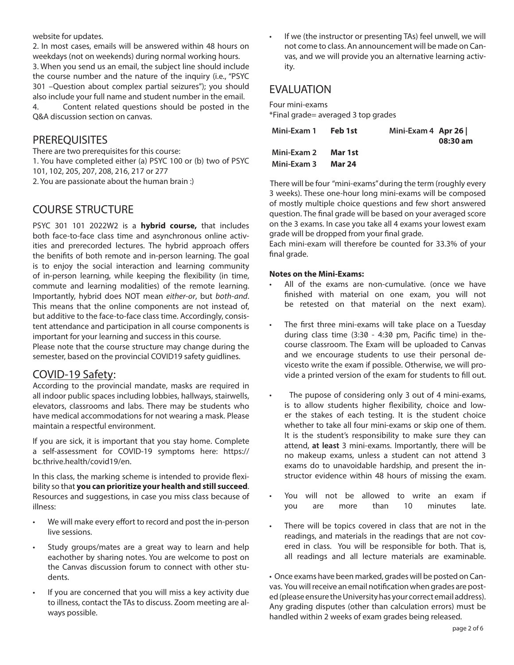website for updates.

2. In most cases, emails will be answered within 48 hours on weekdays (not on weekends) during normal working hours. 3. When you send us an email, the subject line should include the course number and the nature of the inquiry (i.e., "PSYC 301 –Question about complex partial seizures"); you should also include your full name and student number in the email. 4. Content related questions should be posted in the Q&A discussion section on canvas.

### **PREREQUISITES**

There are two prerequisites for this course: 1. You have completed either (a) PSYC 100 or (b) two of PSYC 101, 102, 205, 207, 208, 216, 217 or 277 2. You are passionate about the human brain :)

# COURSE STRUCTURE

PSYC 301 101 2022W2 is a **hybrid course,** that includes both face-to-face class time and asynchronous online activities and prerecorded lectures. The hybrid approach offers the benifits of both remote and in-person learning. The goal is to enjoy the social interaction and learning community of in-person learning, while keeping the flexibility (in time, commute and learning modalities) of the remote learning. Importantly, hybrid does NOT mean *either-or*, but *both-and*. This means that the online components are not instead of, but additive to the face-to-face class time. Accordingly, consistent attendance and participation in all course components is important for your learning and success in this course.

Please note that the course structure may change during the semester, based on the provincial COVID19 safety guidlines.

### COVID-19 Safety:

According to the provincial mandate, masks are required in all indoor public spaces including lobbies, hallways, stairwells, elevators, classrooms and labs. There may be students who have medical accommodations for not wearing a mask. Please maintain a respectful environment.

If you are sick, it is important that you stay home. Complete a self-assessment for COVID-19 symptoms here: https:// bc.thrive.health/covid19/en.

In this class, the marking scheme is intended to provide flexibility so that **you can prioritize your health and still succeed**. Resources and suggestions, in case you miss class because of illness:

- We will make every effort to record and post the in-person live sessions.
- Study groups/mates are a great way to learn and help eachother by sharing notes. You are welcome to post on the Canvas discussion forum to connect with other students.
- If you are concerned that you will miss a key activity due to illness, contact the TAs to discuss. Zoom meeting are always possible.

If we (the instructor or presenting TAs) feel unwell, we will not come to class. An announcement will be made on Canvas, and we will provide you an alternative learning activity.

### **FVALUATION**

Four mini-exams

\*Final grade= averaged 3 top grades

| Mini-Exam 1 | Feb 1st       | Mini-Exam 4 Apr 26 | 08:30 am |
|-------------|---------------|--------------------|----------|
| Mini-Exam 2 | Mar 1st       |                    |          |
| Mini-Exam 3 | <b>Mar 24</b> |                    |          |

There will be four "mini-exams" during the term (roughly every 3 weeks). These one-hour long mini-exams will be composed of mostly multiple choice questions and few short answered question. The final grade will be based on your averaged score on the 3 exams. In case you take all 4 exams your lowest exam grade will be dropped from your final grade.

Each mini-exam will therefore be counted for 33.3% of your final grade.

### **Notes on the Mini-Exams:**

- All of the exams are non-cumulative. (once we have finished with material on one exam, you will not be retested on that material on the next exam).
- The first three mini-exams will take place on a Tuesday during class time (3:30 - 4:30 pm, Pacific time) in thecourse classroom. The Exam will be uploaded to Canvas and we encourage students to use their personal devicesto write the exam if possible. Otherwise, we will provide a printed version of the exam for students to fill out.
- The pupose of considering only 3 out of 4 mini-exams, is to allow students higher flexibility, choice and lower the stakes of each testing. It is the student choice whether to take all four mini-exams or skip one of them. It is the student's responsibility to make sure they can attend, **at least** 3 mini-exams. Importantly, there will be no makeup exams, unless a student can not attend 3 exams do to unavoidable hardship, and present the instructor evidence within 48 hours of missing the exam.
- You will not be allowed to write an exam if you are more than 10 minutes late.
- There will be topics covered in class that are not in the readings, and materials in the readings that are not covered in class. You will be responsible for both. That is, all readings and all lecture materials are examinable.

• Once exams have been marked, grades will be posted on Canvas. You will receive an email notification when grades are posted (please ensure the University has your correct email address). Any grading disputes (other than calculation errors) must be handled within 2 weeks of exam grades being released.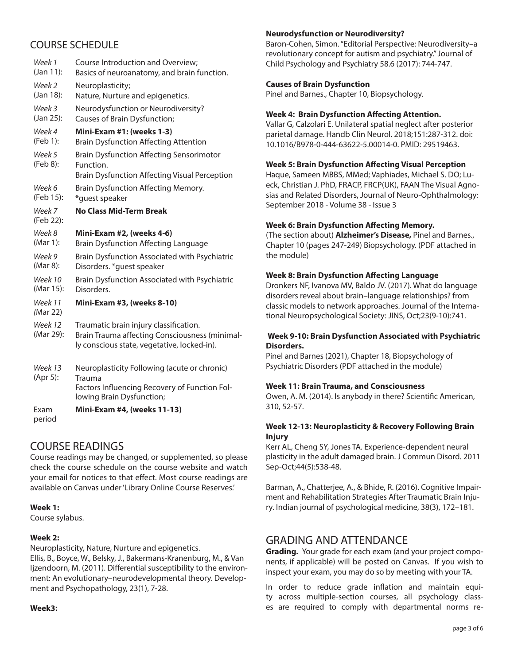# COURSE SCHEDULE

| Week 1               | Course Introduction and Overview;                                                                                                       |
|----------------------|-----------------------------------------------------------------------------------------------------------------------------------------|
| (Jan 11):            | Basics of neuroanatomy, and brain function.                                                                                             |
| Week 2               | Neuroplasticity;                                                                                                                        |
| (Jan 18):            | Nature, Nurture and epigenetics.                                                                                                        |
| Week 3               | Neurodysfunction or Neurodiversity?                                                                                                     |
| (Jan 25):            | Causes of Brain Dysfunction;                                                                                                            |
| Week 4               | Mini-Exam #1: (weeks 1-3)                                                                                                               |
| (Feb 1):             | <b>Brain Dysfunction Affecting Attention</b>                                                                                            |
| Week 5<br>(Feb 8):   | <b>Brain Dysfunction Affecting Sensorimotor</b><br>Function.<br><b>Brain Dysfunction Affecting Visual Perception</b>                    |
| Week 6               | Brain Dysfunction Affecting Memory.                                                                                                     |
| (Feb 15):            | *quest speaker                                                                                                                          |
| Week 7<br>(Feb 22):  | <b>No Class Mid-Term Break</b>                                                                                                          |
| Week 8               | Mini-Exam #2, (weeks 4-6)                                                                                                               |
| (Mar 1):             | <b>Brain Dysfunction Affecting Language</b>                                                                                             |
| Week 9               | Brain Dysfunction Associated with Psychiatric                                                                                           |
| (Mar 8):             | Disorders. * guest speaker                                                                                                              |
| Week 10              | Brain Dysfunction Associated with Psychiatric                                                                                           |
| (Mar 15):            | Disorders.                                                                                                                              |
| Week 11<br>(Mar 22)  | Mini-Exam #3, (weeks 8-10)                                                                                                              |
| Week 12<br>(Mar 29): | Traumatic brain injury classification.<br>Brain Trauma affecting Consciousness (minimal-<br>ly conscious state, vegetative, locked-in). |
| Week 13<br>(Apr 5):  | Neuroplasticity Following (acute or chronic)<br>Trauma<br>Factors Influencing Recovery of Function Fol-<br>lowing Brain Dysfunction;    |
| Exam<br>period       | <b>Mini-Exam #4, (weeks 11-13)</b>                                                                                                      |

# COURSE READINGS

Course readings may be changed, or supplemented, so please check the course schedule on the course website and watch your email for notices to that effect. Most course readings are available on Canvas under 'Library Online Course Reserves.'

### **Week 1:**

Course sylabus.

### **Week 2:**

Neuroplasticity, Nature, Nurture and epigenetics.

Ellis, B., Boyce, W., Belsky, J., Bakermans-Kranenburg, M., & Van Ijzendoorn, M. (2011). Differential susceptibility to the environment: An evolutionary–neurodevelopmental theory. Development and Psychopathology, 23(1), 7-28.

### **Week3:**

### **Neurodysfunction or Neurodiversity?**

Baron‐Cohen, Simon. "Editorial Perspective: Neurodiversity–a revolutionary concept for autism and psychiatry." Journal of Child Psychology and Psychiatry 58.6 (2017): 744-747.

### **Causes of Brain Dysfunction**

Pinel and Barnes., Chapter 10, Biopsychology.

### **Week 4: Brain Dysfunction Affecting Attention.**

Vallar G, Calzolari E. Unilateral spatial neglect after posterior parietal damage. Handb Clin Neurol. 2018;151:287-312. doi: 10.1016/B978-0-444-63622-5.00014-0. PMID: 29519463.

### **Week 5: Brain Dysfunction Affecting Visual Perception**

Haque, Sameen MBBS, MMed; Vaphiades, Michael S. DO; Lueck, Christian J. PhD, FRACP, FRCP(UK), FAAN The Visual Agnosias and Related Disorders, Journal of Neuro-Ophthalmology: September 2018 - Volume 38 - Issue 3

### **Week 6: Brain Dysfunction Affecting Memory.**

(The section about) **Alzheimer's Disease,** Pinel and Barnes., Chapter 10 (pages 247-249) Biopsychology. (PDF attached in the module)

### **Week 8: Brain Dysfunction Affecting Language**

Dronkers NF, Ivanova MV, Baldo JV. (2017). What do language disorders reveal about brain–language relationships? from classic models to network approaches. Journal of the International Neuropsychological Society: JINS, Oct;23(9-10):741.

### **Week 9-10: Brain Dysfunction Associated with Psychiatric Disorders.**

Pinel and Barnes (2021), Chapter 18, Biopsychology of Psychiatric Disorders (PDF attached in the module)

### **Week 11: Brain Trauma, and Consciousness**

Owen, A. M. (2014). Is anybody in there? Scientific American, 310, 52-57.

### **Week 12-13: Neuroplasticity & Recovery Following Brain Injury**

Kerr AL, Cheng SY, Jones TA. Experience-dependent neural plasticity in the adult damaged brain. J Commun Disord. 2011 Sep-Oct;44(5):538-48.

Barman, A., Chatterjee, A., & Bhide, R. (2016). Cognitive Impairment and Rehabilitation Strategies After Traumatic Brain Injury. Indian journal of psychological medicine, 38(3), 172–181.

### GRADING AND ATTENDANCE

**Grading.** Your grade for each exam (and your project components, if applicable) will be posted on Canvas. If you wish to inspect your exam, you may do so by meeting with your TA.

In order to reduce grade inflation and maintain equity across multiple-section courses, all psychology classes are required to comply with departmental norms re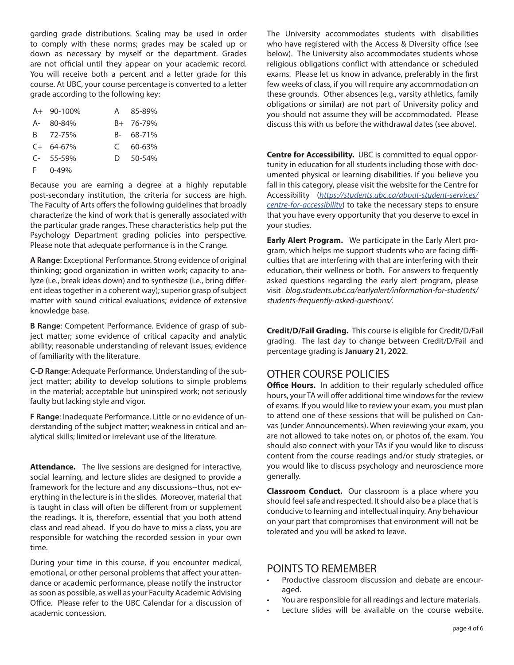garding grade distributions. Scaling may be used in order to comply with these norms; grades may be scaled up or down as necessary by myself or the department. Grades are not official until they appear on your academic record. You will receive both a percent and a letter grade for this course. At UBC, your course percentage is converted to a letter grade according to the following key:

| A+ 90-100%    |    | A 85-89%   |
|---------------|----|------------|
| A- 80-84%     |    | B+ 76-79%  |
| B 72-75%      |    | B- 68-71%  |
| $C+ 64-67%$   |    | $C$ 60-63% |
| $C-55-59%$    | D. | 50-54%     |
| $F = 0 - 49%$ |    |            |

Because you are earning a degree at a highly reputable post-secondary institution, the criteria for success are high. The Faculty of Arts offers the following guidelines that broadly characterize the kind of work that is generally associated with the particular grade ranges. These characteristics help put the Psychology Department grading policies into perspective. Please note that adequate performance is in the C range.

**A Range**: Exceptional Performance. Strong evidence of original thinking; good organization in written work; capacity to analyze (i.e., break ideas down) and to synthesize (i.e., bring different ideas together in a coherent way); superior grasp of subject matter with sound critical evaluations; evidence of extensive knowledge base.

**B Range**: Competent Performance. Evidence of grasp of subject matter; some evidence of critical capacity and analytic ability; reasonable understanding of relevant issues; evidence of familiarity with the literature.

**C-D Range**: Adequate Performance. Understanding of the subject matter; ability to develop solutions to simple problems in the material; acceptable but uninspired work; not seriously faulty but lacking style and vigor.

**F Range**: Inadequate Performance. Little or no evidence of understanding of the subject matter; weakness in critical and analytical skills; limited or irrelevant use of the literature.

**Attendance.** The live sessions are designed for interactive, social learning, and lecture slides are designed to provide a framework for the lecture and any discussions--thus, not everything in the lecture is in the slides. Moreover, material that is taught in class will often be different from or supplement the readings. It is, therefore, essential that you both attend class and read ahead. If you do have to miss a class, you are responsible for watching the recorded session in your own time.

During your time in this course, if you encounter medical, emotional, or other personal problems that affect your attendance or academic performance, please notify the instructor as soon as possible, as well as your Faculty Academic Advising Office. Please refer to the UBC Calendar for a discussion of academic concession.

The University accommodates students with disabilities who have registered with the Access & Diversity office (see below). The University also accommodates students whose religious obligations conflict with attendance or scheduled exams. Please let us know in advance, preferably in the first few weeks of class, if you will require any accommodation on these grounds. Other absences (e.g., varsity athletics, family obligations or similar) are not part of University policy and you should not assume they will be accommodated. Please discuss this with us before the withdrawal dates (see above).

**Centre for Accessibility.** UBC is committed to equal opportunity in education for all students including those with documented physical or learning disabilities. If you believe you fall in this category, please visit the website for the Centre for Accessibility (*https://students.ubc.ca/about-student-services/ centre-for-accessibility*) to take the necessary steps to ensure that you have every opportunity that you deserve to excel in your studies.

**Early Alert Program.** We participate in the Early Alert program, which helps me support students who are facing difficulties that are interfering with that are interfering with their education, their wellness or both. For answers to frequently asked questions regarding the early alert program, please visit *blog.students.ubc.ca/earlyalert/information-for-students/ students-frequently-asked-questions/.*

**Credit/D/Fail Grading.** This course is eligible for Credit/D/Fail grading. The last day to change between Credit/D/Fail and percentage grading is **January 21, 2022**.

# OTHER COURSE POLICIES

**Office Hours.** In addition to their regularly scheduled office hours, your TA will offer additional time windows for the review of exams. If you would like to review your exam, you must plan to attend one of these sessions that will be pulished on Canvas (under Announcements). When reviewing your exam, you are not allowed to take notes on, or photos of, the exam. You should also connect with your TAs if you would like to discuss content from the course readings and/or study strategies, or you would like to discuss psychology and neuroscience more generally.

**Classroom Conduct.** Our classroom is a place where you should feel safe and respected. It should also be a place that is conducive to learning and intellectual inquiry. Any behaviour on your part that compromises that environment will not be tolerated and you will be asked to leave.

### POINTS TO REMEMBER

- Productive classroom discussion and debate are encouraged.
- You are responsible for all readings and lecture materials.
- Lecture slides will be available on the course website.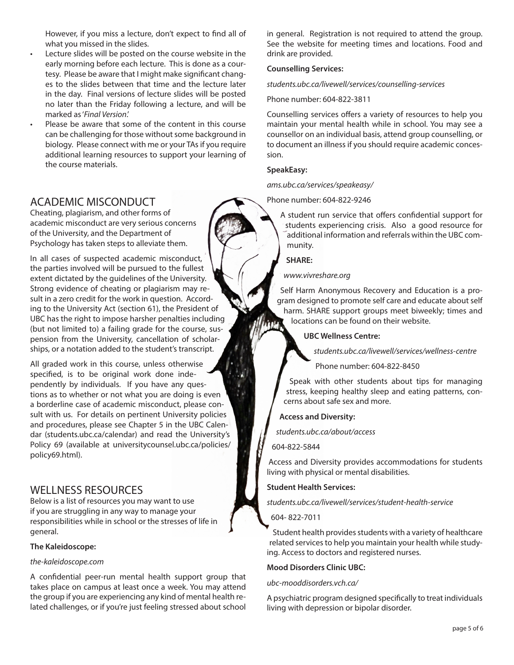However, if you miss a lecture, don't expect to find all of what you missed in the slides.

- Lecture slides will be posted on the course website in the early morning before each lecture. This is done as a courtesy. Please be aware that I might make significant changes to the slides between that time and the lecture later in the day. Final versions of lecture slides will be posted no later than the Friday following a lecture, and will be marked as '*Final Version*.'
- Please be aware that some of the content in this course can be challenging for those without some background in biology. Please connect with me or your TAs if you require additional learning resources to support your learning of the course materials.

# ACADEMIC MISCONDUCT

Cheating, plagiarism, and other forms of academic misconduct are very serious concerns of the University, and the Department of Psychology has taken steps to alleviate them.

In all cases of suspected academic misconduct, the parties involved will be pursued to the fullest extent dictated by the guidelines of the University. Strong evidence of cheating or plagiarism may result in a zero credit for the work in question. According to the University Act (section 61), the President of UBC has the right to impose harsher penalties including (but not limited to) a failing grade for the course, suspension from the University, cancellation of scholarships, or a notation added to the student's transcript.

All graded work in this course, unless otherwise specified, is to be original work done independently by individuals. If you have any questions as to whether or not what you are doing is even a borderline case of academic misconduct, please consult with us. For details on pertinent University policies and procedures, please see Chapter 5 in the UBC Calendar (students.ubc.ca/calendar) and read the University's Policy 69 (available at universitycounsel.ubc.ca/policies/ policy69.html).

### WELLNESS RESOURCES

Below is a list of resources you may want to use if you are struggling in any way to manage your responsibilities while in school or the stresses of life in general.

### **The Kaleidoscope:**

### *the-kaleidoscope.com*

A confidential peer-run mental health support group that takes place on campus at least once a week. You may attend the group if you are experiencing any kind of mental health related challenges, or if you're just feeling stressed about school in general. Registration is not required to attend the group. See the website for meeting times and locations. Food and drink are provided.

### **Counselling Services:**

*students.ubc.ca/livewell/services/counselling-services*

### Phone number: 604-822-3811

Counselling services offers a variety of resources to help you maintain your mental health while in school. You may see a counsellor on an individual basis, attend group counselling, or to document an illness if you should require academic concession.

### **SpeakEasy:**

*ams.ubc.ca/services/speakeasy/*

Phone number: 604-822-9246

A student run service that offers confidential support for students experiencing crisis. Also a good resource for additional information and referrals within the UBC community.

**SHARE:**

### *www.vivreshare.org*

Self Harm Anonymous Recovery and Education is a program designed to promote self care and educate about self harm. SHARE support groups meet biweekly; times and locations can be found on their website.

### **UBC Wellness Centre:**

*students.ubc.ca/livewell/services/wellness-centre*

Phone number: 604-822-8450

Speak with other students about tips for managing stress, keeping healthy sleep and eating patterns, concerns about safe sex and more.

### **Access and Diversity:**

*students.ubc.ca/about/access*

604-822-5844

Access and Diversity provides accommodations for students living with physical or mental disabilities.

### **Student Health Services:**

*students.ubc.ca/livewell/services/student-health-service*

### 604- 822-7011

Student health provides students with a variety of healthcare related services to help you maintain your health while studying. Access to doctors and registered nurses.

### **Mood Disorders Clinic UBC:**

### *ubc-mooddisorders.vch.ca/*

A psychiatric program designed specifically to treat individuals living with depression or bipolar disorder.